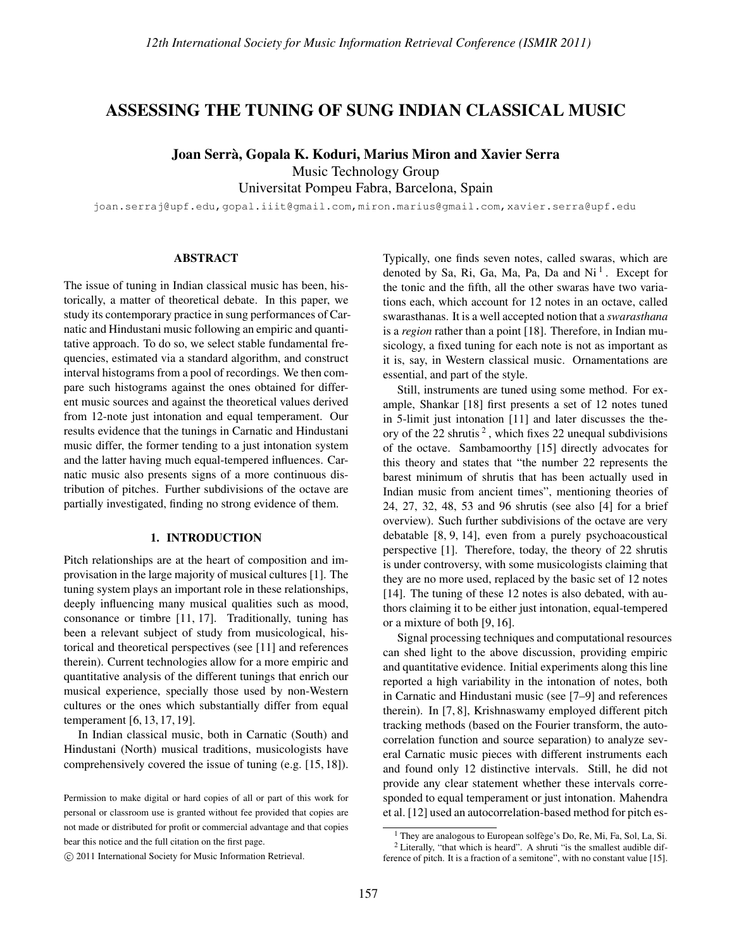# ASSESSING THE TUNING OF SUNG INDIAN CLASSICAL MUSIC

Joan Serra, Gopala K. Koduri, Marius Miron and Xavier Serra `

Music Technology Group

Universitat Pompeu Fabra, Barcelona, Spain

joan.serraj@upf.edu,gopal.iiit@gmail.com,miron.marius@gmail.com,xavier.serra@upf.edu

## ABSTRACT

The issue of tuning in Indian classical music has been, historically, a matter of theoretical debate. In this paper, we study its contemporary practice in sung performances of Carnatic and Hindustani music following an empiric and quantitative approach. To do so, we select stable fundamental frequencies, estimated via a standard algorithm, and construct interval histograms from a pool of recordings. We then compare such histograms against the ones obtained for different music sources and against the theoretical values derived from 12-note just intonation and equal temperament. Our results evidence that the tunings in Carnatic and Hindustani music differ, the former tending to a just intonation system and the latter having much equal-tempered influences. Carnatic music also presents signs of a more continuous distribution of pitches. Further subdivisions of the octave are partially investigated, finding no strong evidence of them.

## 1. INTRODUCTION

Pitch relationships are at the heart of composition and improvisation in the large majority of musical cultures [1]. The tuning system plays an important role in these relationships, deeply influencing many musical qualities such as mood, consonance or timbre [11, 17]. Traditionally, tuning has been a relevant subject of study from musicological, historical and theoretical perspectives (see [11] and references therein). Current technologies allow for a more empiric and quantitative analysis of the different tunings that enrich our musical experience, specially those used by non-Western cultures or the ones which substantially differ from equal temperament [6, 13, 17, 19].

In Indian classical music, both in Carnatic (South) and Hindustani (North) musical traditions, musicologists have comprehensively covered the issue of tuning (e.g. [15, 18]). Typically, one finds seven notes, called swaras, which are denoted by Sa, Ri, Ga, Ma, Pa, Da and Ni<sup>1</sup>. Except for the tonic and the fifth, all the other swaras have two variations each, which account for 12 notes in an octave, called swarasthanas. It is a well accepted notion that a *swarasthana* is a *region* rather than a point [18]. Therefore, in Indian musicology, a fixed tuning for each note is not as important as it is, say, in Western classical music. Ornamentations are essential, and part of the style.

Still, instruments are tuned using some method. For example, Shankar [18] first presents a set of 12 notes tuned in 5-limit just intonation [11] and later discusses the theory of the 22 shrutis<sup>2</sup>, which fixes 22 unequal subdivisions of the octave. Sambamoorthy [15] directly advocates for this theory and states that "the number 22 represents the barest minimum of shrutis that has been actually used in Indian music from ancient times", mentioning theories of 24, 27, 32, 48, 53 and 96 shrutis (see also [4] for a brief overview). Such further subdivisions of the octave are very debatable [8, 9, 14], even from a purely psychoacoustical perspective [1]. Therefore, today, the theory of 22 shrutis is under controversy, with some musicologists claiming that they are no more used, replaced by the basic set of 12 notes [14]. The tuning of these 12 notes is also debated, with authors claiming it to be either just intonation, equal-tempered or a mixture of both [9, 16].

Signal processing techniques and computational resources can shed light to the above discussion, providing empiric and quantitative evidence. Initial experiments along this line reported a high variability in the intonation of notes, both in Carnatic and Hindustani music (see [7–9] and references therein). In [7, 8], Krishnaswamy employed different pitch tracking methods (based on the Fourier transform, the autocorrelation function and source separation) to analyze several Carnatic music pieces with different instruments each and found only 12 distinctive intervals. Still, he did not provide any clear statement whether these intervals corresponded to equal temperament or just intonation. Mahendra et al. [12] used an autocorrelation-based method for pitch es-

Permission to make digital or hard copies of all or part of this work for personal or classroom use is granted without fee provided that copies are not made or distributed for profit or commercial advantage and that copies bear this notice and the full citation on the first page.

c 2011 International Society for Music Information Retrieval.

<sup>&</sup>lt;sup>1</sup> They are analogous to European solfège's Do, Re, Mi, Fa, Sol, La, Si.

 $2$  Literally, "that which is heard". A shruti "is the smallest audible difference of pitch. It is a fraction of a semitone", with no constant value [15].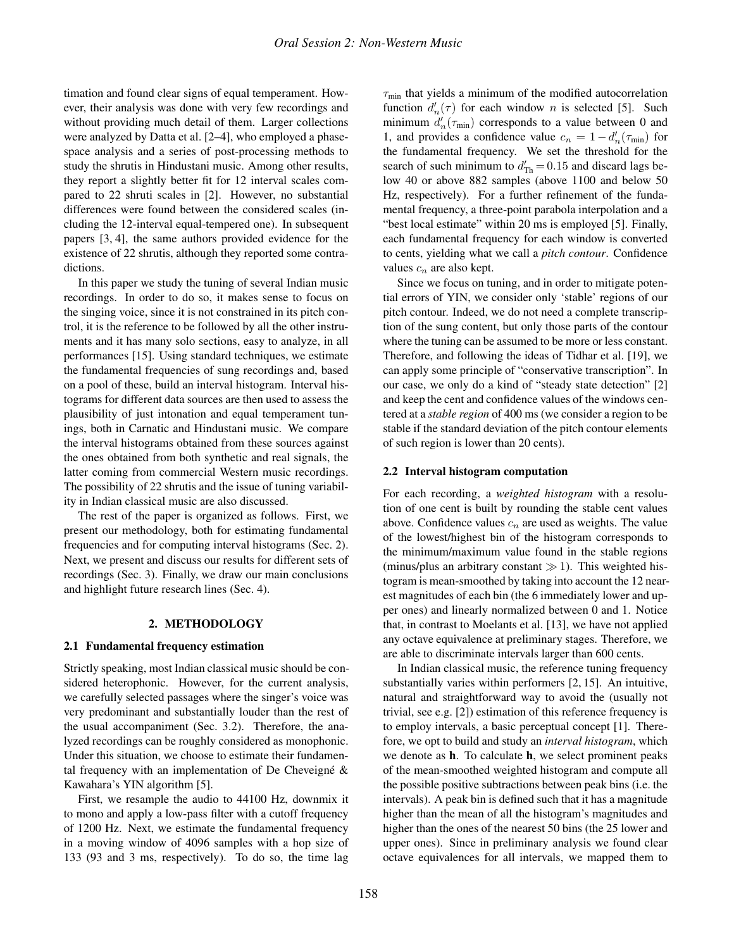timation and found clear signs of equal temperament. However, their analysis was done with very few recordings and without providing much detail of them. Larger collections were analyzed by Datta et al. [2–4], who employed a phasespace analysis and a series of post-processing methods to study the shrutis in Hindustani music. Among other results, they report a slightly better fit for 12 interval scales compared to 22 shruti scales in [2]. However, no substantial differences were found between the considered scales (including the 12-interval equal-tempered one). In subsequent papers [3, 4], the same authors provided evidence for the existence of 22 shrutis, although they reported some contradictions.

In this paper we study the tuning of several Indian music recordings. In order to do so, it makes sense to focus on the singing voice, since it is not constrained in its pitch control, it is the reference to be followed by all the other instruments and it has many solo sections, easy to analyze, in all performances [15]. Using standard techniques, we estimate the fundamental frequencies of sung recordings and, based on a pool of these, build an interval histogram. Interval histograms for different data sources are then used to assess the plausibility of just intonation and equal temperament tunings, both in Carnatic and Hindustani music. We compare the interval histograms obtained from these sources against the ones obtained from both synthetic and real signals, the latter coming from commercial Western music recordings. The possibility of 22 shrutis and the issue of tuning variability in Indian classical music are also discussed.

The rest of the paper is organized as follows. First, we present our methodology, both for estimating fundamental frequencies and for computing interval histograms (Sec. 2). Next, we present and discuss our results for different sets of recordings (Sec. 3). Finally, we draw our main conclusions and highlight future research lines (Sec. 4).

### 2. METHODOLOGY

## 2.1 Fundamental frequency estimation

Strictly speaking, most Indian classical music should be considered heterophonic. However, for the current analysis, we carefully selected passages where the singer's voice was very predominant and substantially louder than the rest of the usual accompaniment (Sec. 3.2). Therefore, the analyzed recordings can be roughly considered as monophonic. Under this situation, we choose to estimate their fundamental frequency with an implementation of De Cheveigné  $\&$ Kawahara's YIN algorithm [5].

First, we resample the audio to 44100 Hz, downmix it to mono and apply a low-pass filter with a cutoff frequency of 1200 Hz. Next, we estimate the fundamental frequency in a moving window of 4096 samples with a hop size of 133 (93 and 3 ms, respectively). To do so, the time lag

 $\tau_{\text{min}}$  that yields a minimum of the modified autocorrelation function  $d'_{n}(\tau)$  for each window n is selected [5]. Such minimum  $d'_{n}(\tau_{\text{min}})$  corresponds to a value between 0 and 1, and provides a confidence value  $c_n = 1 - d'_n(\tau_{\min})$  for the fundamental frequency. We set the threshold for the search of such minimum to  $d'_{\text{Th}} = 0.15$  and discard lags below 40 or above 882 samples (above 1100 and below 50 Hz, respectively). For a further refinement of the fundamental frequency, a three-point parabola interpolation and a "best local estimate" within 20 ms is employed [5]. Finally, each fundamental frequency for each window is converted to cents, yielding what we call a *pitch contour*. Confidence values  $c_n$  are also kept.

Since we focus on tuning, and in order to mitigate potential errors of YIN, we consider only 'stable' regions of our pitch contour. Indeed, we do not need a complete transcription of the sung content, but only those parts of the contour where the tuning can be assumed to be more or less constant. Therefore, and following the ideas of Tidhar et al. [19], we can apply some principle of "conservative transcription". In our case, we only do a kind of "steady state detection" [2] and keep the cent and confidence values of the windows centered at a *stable region* of 400 ms (we consider a region to be stable if the standard deviation of the pitch contour elements of such region is lower than 20 cents).

## 2.2 Interval histogram computation

For each recording, a *weighted histogram* with a resolution of one cent is built by rounding the stable cent values above. Confidence values  $c_n$  are used as weights. The value of the lowest/highest bin of the histogram corresponds to the minimum/maximum value found in the stable regions (minus/plus an arbitrary constant  $\gg$  1). This weighted histogram is mean-smoothed by taking into account the 12 nearest magnitudes of each bin (the 6 immediately lower and upper ones) and linearly normalized between 0 and 1. Notice that, in contrast to Moelants et al. [13], we have not applied any octave equivalence at preliminary stages. Therefore, we are able to discriminate intervals larger than 600 cents.

In Indian classical music, the reference tuning frequency substantially varies within performers [2, 15]. An intuitive, natural and straightforward way to avoid the (usually not trivial, see e.g. [2]) estimation of this reference frequency is to employ intervals, a basic perceptual concept [1]. Therefore, we opt to build and study an *interval histogram*, which we denote as h. To calculate h, we select prominent peaks of the mean-smoothed weighted histogram and compute all the possible positive subtractions between peak bins (i.e. the intervals). A peak bin is defined such that it has a magnitude higher than the mean of all the histogram's magnitudes and higher than the ones of the nearest 50 bins (the 25 lower and upper ones). Since in preliminary analysis we found clear octave equivalences for all intervals, we mapped them to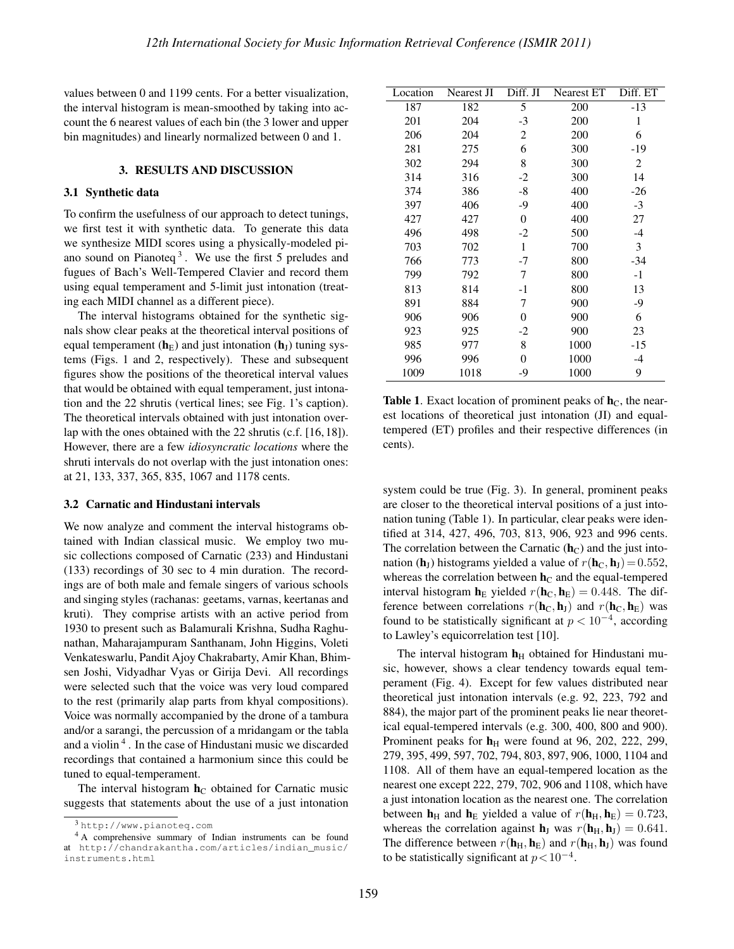values between 0 and 1199 cents. For a better visualization, the interval histogram is mean-smoothed by taking into account the 6 nearest values of each bin (the 3 lower and upper bin magnitudes) and linearly normalized between 0 and 1.

### 3. RESULTS AND DISCUSSION

#### 3.1 Synthetic data

To confirm the usefulness of our approach to detect tunings, we first test it with synthetic data. To generate this data we synthesize MIDI scores using a physically-modeled piano sound on Pianoteq<sup>3</sup>. We use the first  $5$  preludes and fugues of Bach's Well-Tempered Clavier and record them using equal temperament and 5-limit just intonation (treating each MIDI channel as a different piece).

The interval histograms obtained for the synthetic signals show clear peaks at the theoretical interval positions of equal temperament ( $h<sub>E</sub>$ ) and just intonation ( $h<sub>J</sub>$ ) tuning systems (Figs. 1 and 2, respectively). These and subsequent figures show the positions of the theoretical interval values that would be obtained with equal temperament, just intonation and the 22 shrutis (vertical lines; see Fig. 1's caption). The theoretical intervals obtained with just intonation overlap with the ones obtained with the 22 shrutis (c.f. [16,18]). However, there are a few *idiosyncratic locations* where the shruti intervals do not overlap with the just intonation ones: at 21, 133, 337, 365, 835, 1067 and 1178 cents.

#### 3.2 Carnatic and Hindustani intervals

We now analyze and comment the interval histograms obtained with Indian classical music. We employ two music collections composed of Carnatic (233) and Hindustani (133) recordings of 30 sec to 4 min duration. The recordings are of both male and female singers of various schools and singing styles (rachanas: geetams, varnas, keertanas and kruti). They comprise artists with an active period from 1930 to present such as Balamurali Krishna, Sudha Raghunathan, Maharajampuram Santhanam, John Higgins, Voleti Venkateswarlu, Pandit Ajoy Chakrabarty, Amir Khan, Bhimsen Joshi, Vidyadhar Vyas or Girija Devi. All recordings were selected such that the voice was very loud compared to the rest (primarily alap parts from khyal compositions). Voice was normally accompanied by the drone of a tambura and/or a sarangi, the percussion of a mridangam or the tabla and a violin<sup>4</sup>. In the case of Hindustani music we discarded recordings that contained a harmonium since this could be tuned to equal-temperament.

The interval histogram  $h<sub>C</sub>$  obtained for Carnatic music suggests that statements about the use of a just intonation

| Location | Nearest JI | Diff. JI | <b>Nearest ET</b> | Diff. ET |
|----------|------------|----------|-------------------|----------|
| 187      | 182        | 5        | 200               | $-13$    |
| 201      | 204        | $-3$     | 200               | 1        |
| 206      | 204        | 2        | 200               | 6        |
| 281      | 275        | 6        | 300               | $-19$    |
| 302      | 294        | 8        | 300               | 2        |
| 314      | 316        | $-2$     | 300               | 14       |
| 374      | 386        | $-8$     | 400               | $-26$    |
| 397      | 406        | -9       | 400               | $-3$     |
| 427      | 427        | 0        | 400               | 27       |
| 496      | 498        | $-2$     | 500               | $-4$     |
| 703      | 702        | 1        | 700               | 3        |
| 766      | 773        | -7       | 800               | -34      |
| 799      | 792        | 7        | 800               | $-1$     |
| 813      | 814        | $-1$     | 800               | 13       |
| 891      | 884        | 7        | 900               | -9       |
| 906      | 906        | 0        | 900               | 6        |
| 923      | 925        | $-2$     | 900               | 23       |
| 985      | 977        | 8        | 1000              | $-15$    |
| 996      | 996        | 0        | 1000              | $-4$     |
| 1009     | 1018       | -9       | 1000              | 9        |

**Table 1.** Exact location of prominent peaks of  $h<sub>C</sub>$ , the nearest locations of theoretical just intonation (JI) and equaltempered (ET) profiles and their respective differences (in cents).

system could be true (Fig. 3). In general, prominent peaks are closer to the theoretical interval positions of a just intonation tuning (Table 1). In particular, clear peaks were identified at 314, 427, 496, 703, 813, 906, 923 and 996 cents. The correlation between the Carnatic  $(h<sub>C</sub>)$  and the just intonation (h<sub>J</sub>) histograms yielded a value of  $r(h_C, h_J) = 0.552$ , whereas the correlation between  $h<sub>C</sub>$  and the equal-tempered interval histogram  $h_E$  yielded  $r(h_C, h_E) = 0.448$ . The difference between correlations  $r(\mathbf{h}_C, \mathbf{h}_J)$  and  $r(\mathbf{h}_C, \mathbf{h}_E)$  was found to be statistically significant at  $p < 10^{-4}$ , according to Lawley's equicorrelation test [10].

The interval histogram  $h_H$  obtained for Hindustani music, however, shows a clear tendency towards equal temperament (Fig. 4). Except for few values distributed near theoretical just intonation intervals (e.g. 92, 223, 792 and 884), the major part of the prominent peaks lie near theoretical equal-tempered intervals (e.g. 300, 400, 800 and 900). Prominent peaks for  $h_H$  were found at 96, 202, 222, 299, 279, 395, 499, 597, 702, 794, 803, 897, 906, 1000, 1104 and 1108. All of them have an equal-tempered location as the nearest one except 222, 279, 702, 906 and 1108, which have a just intonation location as the nearest one. The correlation between  $\mathbf{h}_{\text{H}}$  and  $\mathbf{h}_{\text{E}}$  yielded a value of  $r(\mathbf{h}_{\text{H}}, \mathbf{h}_{\text{E}}) = 0.723$ , whereas the correlation against  $\mathbf{h}_J$  was  $r(\mathbf{h}_H, \mathbf{h}_J) = 0.641$ . The difference between  $r(\mathbf{h}_{H}, \mathbf{h}_{E})$  and  $r(\mathbf{h}_{H}, \mathbf{h}_{J})$  was found to be statistically significant at  $p < 10^{-4}$ .

<sup>3</sup> http://www.pianoteq.com

<sup>4</sup> A comprehensive summary of Indian instruments can be found at http://chandrakantha.com/articles/indian\_music/ instruments.html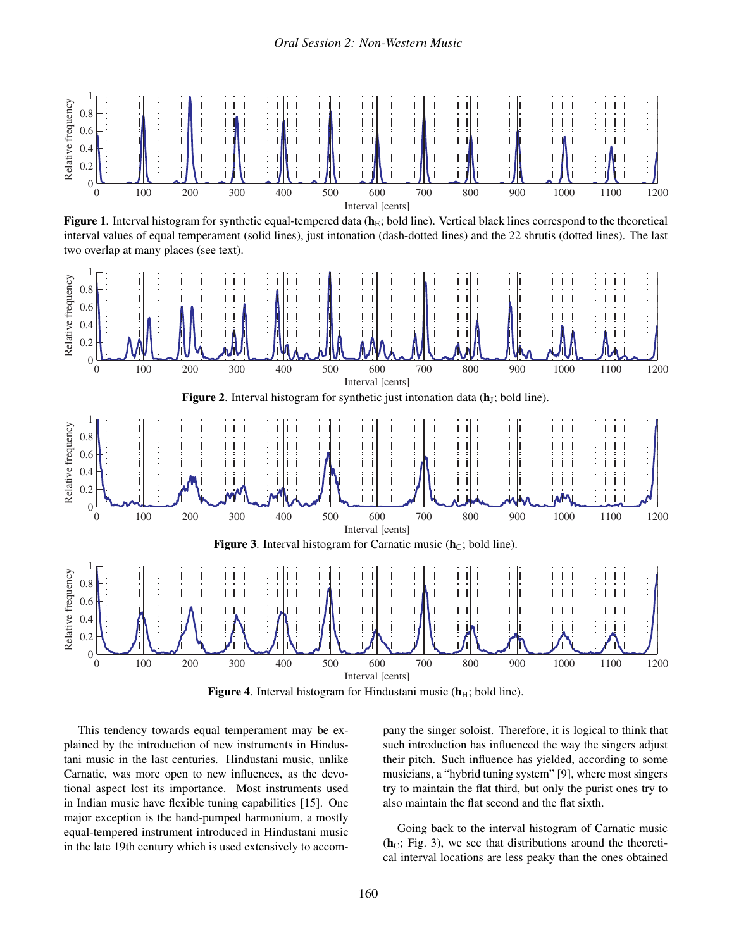

Figure 1. Interval histogram for synthetic equal-tempered data  $(h<sub>E</sub>;$  bold line). Vertical black lines correspond to the theoretical interval values of equal temperament (solid lines), just intonation (dash-dotted lines) and the 22 shrutis (dotted lines). The last two overlap at many places (see text).



Figure 4. Interval histogram for Hindustani music  $(h_H; \text{ bold line}).$ 

This tendency towards equal temperament may be explained by the introduction of new instruments in Hindustani music in the last centuries. Hindustani music, unlike Carnatic, was more open to new influences, as the devotional aspect lost its importance. Most instruments used in Indian music have flexible tuning capabilities [15]. One major exception is the hand-pumped harmonium, a mostly equal-tempered instrument introduced in Hindustani music in the late 19th century which is used extensively to accompany the singer soloist. Therefore, it is logical to think that such introduction has influenced the way the singers adjust their pitch. Such influence has yielded, according to some musicians, a "hybrid tuning system" [9], where most singers try to maintain the flat third, but only the purist ones try to also maintain the flat second and the flat sixth.

Going back to the interval histogram of Carnatic music  $(h<sub>C</sub>; Fig. 3)$ , we see that distributions around the theoretical interval locations are less peaky than the ones obtained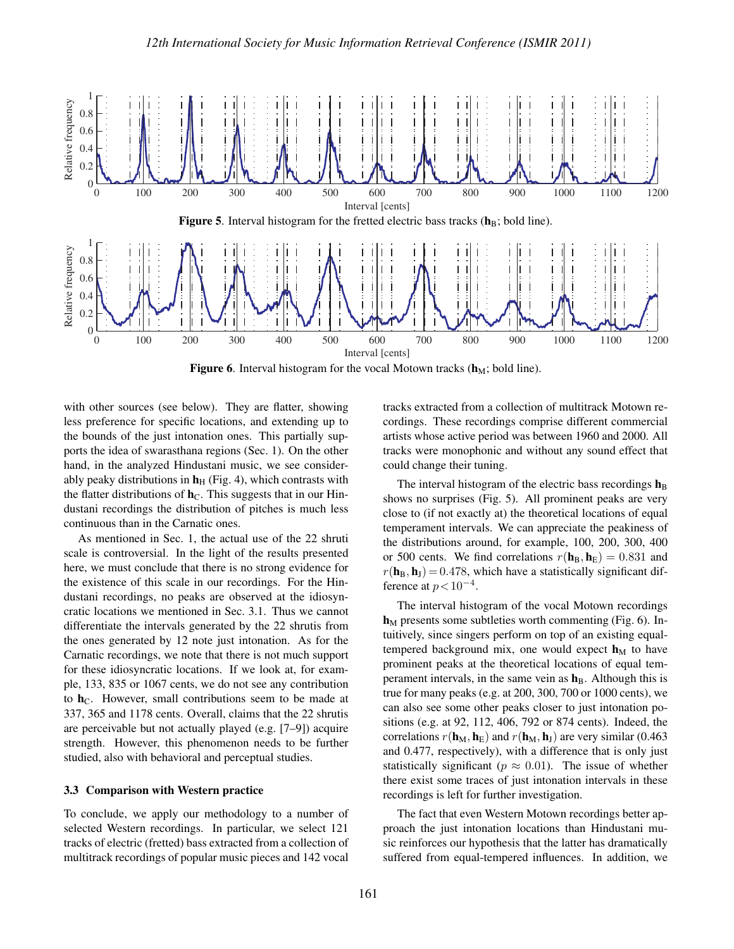

Figure 6. Interval histogram for the vocal Motown tracks  $(h_M; \text{ bold line}).$ 

with other sources (see below). They are flatter, showing less preference for specific locations, and extending up to the bounds of the just intonation ones. This partially supports the idea of swarasthana regions (Sec. 1). On the other hand, in the analyzed Hindustani music, we see considerably peaky distributions in  $h<sub>H</sub>$  (Fig. 4), which contrasts with the flatter distributions of  $h<sub>C</sub>$ . This suggests that in our Hindustani recordings the distribution of pitches is much less continuous than in the Carnatic ones.

As mentioned in Sec. 1, the actual use of the 22 shruti scale is controversial. In the light of the results presented here, we must conclude that there is no strong evidence for the existence of this scale in our recordings. For the Hindustani recordings, no peaks are observed at the idiosyncratic locations we mentioned in Sec. 3.1. Thus we cannot differentiate the intervals generated by the 22 shrutis from the ones generated by 12 note just intonation. As for the Carnatic recordings, we note that there is not much support for these idiosyncratic locations. If we look at, for example, 133, 835 or 1067 cents, we do not see any contribution to  $h<sub>C</sub>$ . However, small contributions seem to be made at 337, 365 and 1178 cents. Overall, claims that the 22 shrutis are perceivable but not actually played (e.g. [7–9]) acquire strength. However, this phenomenon needs to be further studied, also with behavioral and perceptual studies.

## 3.3 Comparison with Western practice

To conclude, we apply our methodology to a number of selected Western recordings. In particular, we select 121 tracks of electric (fretted) bass extracted from a collection of multitrack recordings of popular music pieces and 142 vocal tracks extracted from a collection of multitrack Motown recordings. These recordings comprise different commercial artists whose active period was between 1960 and 2000. All tracks were monophonic and without any sound effect that could change their tuning.

The interval histogram of the electric bass recordings  $h_B$ shows no surprises (Fig. 5). All prominent peaks are very close to (if not exactly at) the theoretical locations of equal temperament intervals. We can appreciate the peakiness of the distributions around, for example, 100, 200, 300, 400 or 500 cents. We find correlations  $r(\mathbf{h}_B, \mathbf{h}_E) = 0.831$  and  $r(\mathbf{h}_B, \mathbf{h}_J) = 0.478$ , which have a statistically significant difference at  $p < 10^{-4}$ .

The interval histogram of the vocal Motown recordings  $h_M$  presents some subtleties worth commenting (Fig. 6). Intuitively, since singers perform on top of an existing equaltempered background mix, one would expect  $h_M$  to have prominent peaks at the theoretical locations of equal temperament intervals, in the same vein as  $h_B$ . Although this is true for many peaks (e.g. at 200, 300, 700 or 1000 cents), we can also see some other peaks closer to just intonation positions (e.g. at 92, 112, 406, 792 or 874 cents). Indeed, the correlations  $r(\mathbf{h}_M, \mathbf{h}_E)$  and  $r(\mathbf{h}_M, \mathbf{h}_J)$  are very similar (0.463) and 0.477, respectively), with a difference that is only just statistically significant ( $p \approx 0.01$ ). The issue of whether there exist some traces of just intonation intervals in these recordings is left for further investigation.

The fact that even Western Motown recordings better approach the just intonation locations than Hindustani music reinforces our hypothesis that the latter has dramatically suffered from equal-tempered influences. In addition, we